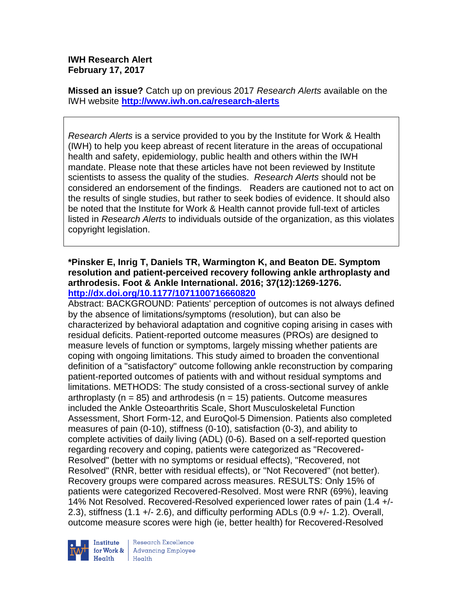# **IWH Research Alert February 17, 2017**

**Missed an issue?** Catch up on previous 2017 *Research Alerts* available on the [IWH website](http://www.iwh.on.ca/research-alerts) **<http://www.iwh.on.ca/research-alerts>**

*Research Alerts* is a service provided to you by the Institute for Work & Health (IWH) to help you keep abreast of recent literature in the areas of occupational health and safety, epidemiology, public health and others within the IWH mandate. Please note that these articles have not been reviewed by Institute scientists to assess the quality of the studies. *Research Alerts* should not be considered an endorsement of the findings. Readers are cautioned not to act on the results of single studies, but rather to seek bodies of evidence. It should also be noted that the Institute for Work & Health cannot provide full-text of articles listed in *Research Alerts* to individuals outside of the organization, as this violates copyright legislation.

# **\*Pinsker E, Inrig T, Daniels TR, Warmington K, and Beaton DE. Symptom resolution and patient-perceived recovery following ankle arthroplasty and arthrodesis. Foot & Ankle International. 2016; 37(12):1269-1276. <http://dx.doi.org/10.1177/1071100716660820>**

Abstract: BACKGROUND: Patients' perception of outcomes is not always defined by the absence of limitations/symptoms (resolution), but can also be characterized by behavioral adaptation and cognitive coping arising in cases with residual deficits. Patient-reported outcome measures (PROs) are designed to measure levels of function or symptoms, largely missing whether patients are coping with ongoing limitations. This study aimed to broaden the conventional definition of a "satisfactory" outcome following ankle reconstruction by comparing patient-reported outcomes of patients with and without residual symptoms and limitations. METHODS: The study consisted of a cross-sectional survey of ankle arthroplasty ( $n = 85$ ) and arthrodesis ( $n = 15$ ) patients. Outcome measures included the Ankle Osteoarthritis Scale, Short Musculoskeletal Function Assessment, Short Form-12, and EuroQol-5 Dimension. Patients also completed measures of pain (0-10), stiffness (0-10), satisfaction (0-3), and ability to complete activities of daily living (ADL) (0-6). Based on a self-reported question regarding recovery and coping, patients were categorized as "Recovered-Resolved" (better with no symptoms or residual effects), "Recovered, not Resolved" (RNR, better with residual effects), or "Not Recovered" (not better). Recovery groups were compared across measures. RESULTS: Only 15% of patients were categorized Recovered-Resolved. Most were RNR (69%), leaving 14% Not Resolved. Recovered-Resolved experienced lower rates of pain (1.4 +/- 2.3), stiffness (1.1 +/- 2.6), and difficulty performing ADLs (0.9 +/- 1.2). Overall, outcome measure scores were high (ie, better health) for Recovered-Resolved

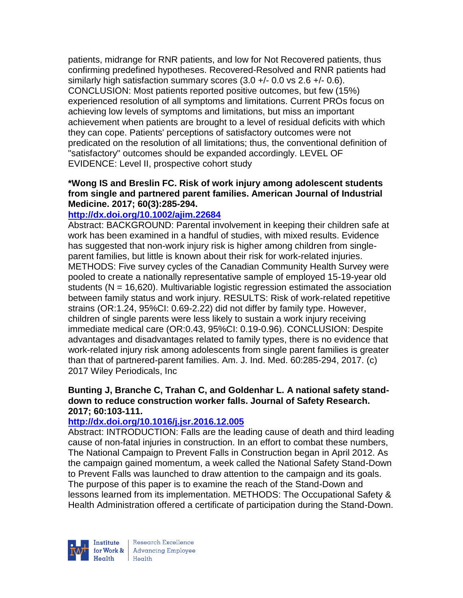patients, midrange for RNR patients, and low for Not Recovered patients, thus confirming predefined hypotheses. Recovered-Resolved and RNR patients had similarly high satisfaction summary scores  $(3.0 +/-0.0)$  vs  $2.6 +/-0.6$ ). CONCLUSION: Most patients reported positive outcomes, but few (15%) experienced resolution of all symptoms and limitations. Current PROs focus on achieving low levels of symptoms and limitations, but miss an important achievement when patients are brought to a level of residual deficits with which they can cope. Patients' perceptions of satisfactory outcomes were not predicated on the resolution of all limitations; thus, the conventional definition of "satisfactory" outcomes should be expanded accordingly. LEVEL OF EVIDENCE: Level II, prospective cohort study

#### **\*Wong IS and Breslin FC. Risk of work injury among adolescent students from single and partnered parent families. American Journal of Industrial Medicine. 2017; 60(3):285-294.**

# **<http://dx.doi.org/10.1002/ajim.22684>**

Abstract: BACKGROUND: Parental involvement in keeping their children safe at work has been examined in a handful of studies, with mixed results. Evidence has suggested that non-work injury risk is higher among children from singleparent families, but little is known about their risk for work-related injuries. METHODS: Five survey cycles of the Canadian Community Health Survey were pooled to create a nationally representative sample of employed 15-19-year old students ( $N = 16,620$ ). Multivariable logistic regression estimated the association between family status and work injury. RESULTS: Risk of work-related repetitive strains (OR:1.24, 95%CI: 0.69-2.22) did not differ by family type. However, children of single parents were less likely to sustain a work injury receiving immediate medical care (OR:0.43, 95%CI: 0.19-0.96). CONCLUSION: Despite advantages and disadvantages related to family types, there is no evidence that work-related injury risk among adolescents from single parent families is greater than that of partnered-parent families. Am. J. Ind. Med. 60:285-294, 2017. (c) 2017 Wiley Periodicals, Inc

# **Bunting J, Branche C, Trahan C, and Goldenhar L. A national safety standdown to reduce construction worker falls. Journal of Safety Research. 2017; 60:103-111.**

# **<http://dx.doi.org/10.1016/j.jsr.2016.12.005>**

Abstract: INTRODUCTION: Falls are the leading cause of death and third leading cause of non-fatal injuries in construction. In an effort to combat these numbers, The National Campaign to Prevent Falls in Construction began in April 2012. As the campaign gained momentum, a week called the National Safety Stand-Down to Prevent Falls was launched to draw attention to the campaign and its goals. The purpose of this paper is to examine the reach of the Stand-Down and lessons learned from its implementation. METHODS: The Occupational Safety & Health Administration offered a certificate of participation during the Stand-Down.



Research Excellence for Work & | Advancing Employee  $Heath$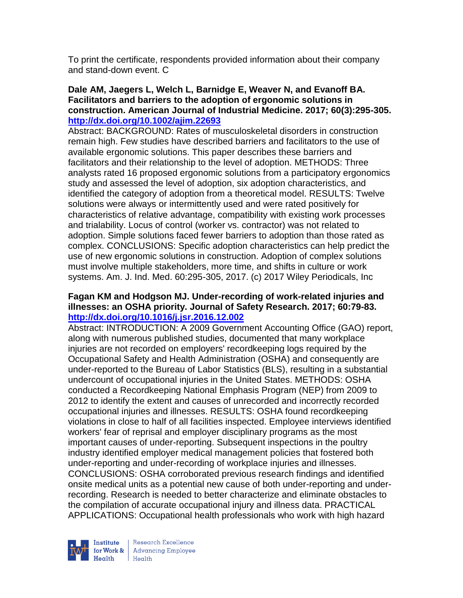To print the certificate, respondents provided information about their company and stand-down event. C

#### **Dale AM, Jaegers L, Welch L, Barnidge E, Weaver N, and Evanoff BA. Facilitators and barriers to the adoption of ergonomic solutions in construction. American Journal of Industrial Medicine. 2017; 60(3):295-305. <http://dx.doi.org/10.1002/ajim.22693>**

Abstract: BACKGROUND: Rates of musculoskeletal disorders in construction remain high. Few studies have described barriers and facilitators to the use of available ergonomic solutions. This paper describes these barriers and facilitators and their relationship to the level of adoption. METHODS: Three analysts rated 16 proposed ergonomic solutions from a participatory ergonomics study and assessed the level of adoption, six adoption characteristics, and identified the category of adoption from a theoretical model. RESULTS: Twelve solutions were always or intermittently used and were rated positively for characteristics of relative advantage, compatibility with existing work processes and trialability. Locus of control (worker vs. contractor) was not related to adoption. Simple solutions faced fewer barriers to adoption than those rated as complex. CONCLUSIONS: Specific adoption characteristics can help predict the use of new ergonomic solutions in construction. Adoption of complex solutions must involve multiple stakeholders, more time, and shifts in culture or work systems. Am. J. Ind. Med. 60:295-305, 2017. (c) 2017 Wiley Periodicals, Inc

# **Fagan KM and Hodgson MJ. Under-recording of work-related injuries and illnesses: an OSHA priority. Journal of Safety Research. 2017; 60:79-83. <http://dx.doi.org/10.1016/j.jsr.2016.12.002>**

Abstract: INTRODUCTION: A 2009 Government Accounting Office (GAO) report, along with numerous published studies, documented that many workplace injuries are not recorded on employers' recordkeeping logs required by the Occupational Safety and Health Administration (OSHA) and consequently are under-reported to the Bureau of Labor Statistics (BLS), resulting in a substantial undercount of occupational injuries in the United States. METHODS: OSHA conducted a Recordkeeping National Emphasis Program (NEP) from 2009 to 2012 to identify the extent and causes of unrecorded and incorrectly recorded occupational injuries and illnesses. RESULTS: OSHA found recordkeeping violations in close to half of all facilities inspected. Employee interviews identified workers' fear of reprisal and employer disciplinary programs as the most important causes of under-reporting. Subsequent inspections in the poultry industry identified employer medical management policies that fostered both under-reporting and under-recording of workplace injuries and illnesses. CONCLUSIONS: OSHA corroborated previous research findings and identified onsite medical units as a potential new cause of both under-reporting and underrecording. Research is needed to better characterize and eliminate obstacles to the compilation of accurate occupational injury and illness data. PRACTICAL APPLICATIONS: Occupational health professionals who work with high hazard



Research Excellence for Work & | Advancing Employee Health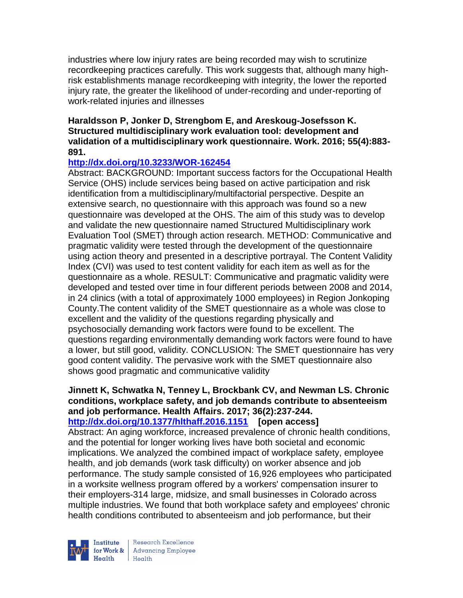industries where low injury rates are being recorded may wish to scrutinize recordkeeping practices carefully. This work suggests that, although many highrisk establishments manage recordkeeping with integrity, the lower the reported injury rate, the greater the likelihood of under-recording and under-reporting of work-related injuries and illnesses

# **Haraldsson P, Jonker D, Strengbom E, and Areskoug-Josefsson K. Structured multidisciplinary work evaluation tool: development and validation of a multidisciplinary work questionnaire. Work. 2016; 55(4):883- 891.**

# **<http://dx.doi.org/10.3233/WOR-162454>**

Abstract: BACKGROUND: Important success factors for the Occupational Health Service (OHS) include services being based on active participation and risk identification from a multidisciplinary/multifactorial perspective. Despite an extensive search, no questionnaire with this approach was found so a new questionnaire was developed at the OHS. The aim of this study was to develop and validate the new questionnaire named Structured Multidisciplinary work Evaluation Tool (SMET) through action research. METHOD: Communicative and pragmatic validity were tested through the development of the questionnaire using action theory and presented in a descriptive portrayal. The Content Validity Index (CVI) was used to test content validity for each item as well as for the questionnaire as a whole. RESULT: Communicative and pragmatic validity were developed and tested over time in four different periods between 2008 and 2014, in 24 clinics (with a total of approximately 1000 employees) in Region Jonkoping County.The content validity of the SMET questionnaire as a whole was close to excellent and the validity of the questions regarding physically and psychosocially demanding work factors were found to be excellent. The questions regarding environmentally demanding work factors were found to have a lower, but still good, validity. CONCLUSION: The SMET questionnaire has very good content validity. The pervasive work with the SMET questionnaire also shows good pragmatic and communicative validity

#### **Jinnett K, Schwatka N, Tenney L, Brockbank CV, and Newman LS. Chronic conditions, workplace safety, and job demands contribute to absenteeism and job performance. Health Affairs. 2017; 36(2):237-244. <http://dx.doi.org/10.1377/hlthaff.2016.1151>[open access]**

Abstract: An aging workforce, increased prevalence of chronic health conditions, and the potential for longer working lives have both societal and economic implications. We analyzed the combined impact of workplace safety, employee health, and job demands (work task difficulty) on worker absence and job performance. The study sample consisted of 16,926 employees who participated in a worksite wellness program offered by a workers' compensation insurer to their employers-314 large, midsize, and small businesses in Colorado across multiple industries. We found that both workplace safety and employees' chronic health conditions contributed to absenteeism and job performance, but their



Research Excellence for Work & | Advancing Employee  $H_{\text{eath}}$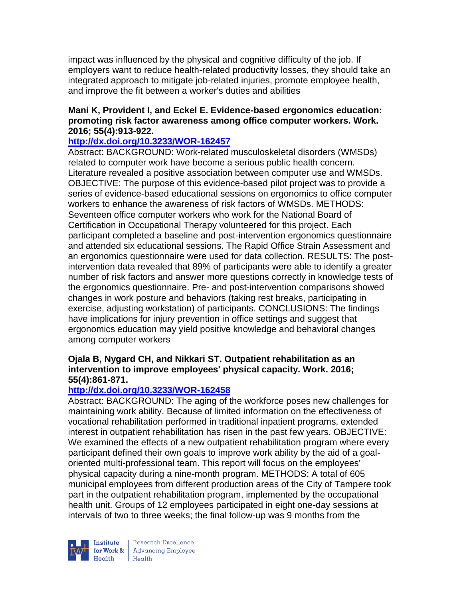impact was influenced by the physical and cognitive difficulty of the job. If employers want to reduce health-related productivity losses, they should take an integrated approach to mitigate job-related injuries, promote employee health, and improve the fit between a worker's duties and abilities

# **Mani K, Provident I, and Eckel E. Evidence-based ergonomics education: promoting risk factor awareness among office computer workers. Work. 2016; 55(4):913-922.**

#### **<http://dx.doi.org/10.3233/WOR-162457>**

Abstract: BACKGROUND: Work-related musculoskeletal disorders (WMSDs) related to computer work have become a serious public health concern. Literature revealed a positive association between computer use and WMSDs. OBJECTIVE: The purpose of this evidence-based pilot project was to provide a series of evidence-based educational sessions on ergonomics to office computer workers to enhance the awareness of risk factors of WMSDs. METHODS: Seventeen office computer workers who work for the National Board of Certification in Occupational Therapy volunteered for this project. Each participant completed a baseline and post-intervention ergonomics questionnaire and attended six educational sessions. The Rapid Office Strain Assessment and an ergonomics questionnaire were used for data collection. RESULTS: The postintervention data revealed that 89% of participants were able to identify a greater number of risk factors and answer more questions correctly in knowledge tests of the ergonomics questionnaire. Pre- and post-intervention comparisons showed changes in work posture and behaviors (taking rest breaks, participating in exercise, adjusting workstation) of participants. CONCLUSIONS: The findings have implications for injury prevention in office settings and suggest that ergonomics education may yield positive knowledge and behavioral changes among computer workers

# **Ojala B, Nygard CH, and Nikkari ST. Outpatient rehabilitation as an intervention to improve employees' physical capacity. Work. 2016; 55(4):861-871.**

# **<http://dx.doi.org/10.3233/WOR-162458>**

Abstract: BACKGROUND: The aging of the workforce poses new challenges for maintaining work ability. Because of limited information on the effectiveness of vocational rehabilitation performed in traditional inpatient programs, extended interest in outpatient rehabilitation has risen in the past few years. OBJECTIVE: We examined the effects of a new outpatient rehabilitation program where every participant defined their own goals to improve work ability by the aid of a goaloriented multi-professional team. This report will focus on the employees' physical capacity during a nine-month program. METHODS: A total of 605 municipal employees from different production areas of the City of Tampere took part in the outpatient rehabilitation program, implemented by the occupational health unit. Groups of 12 employees participated in eight one-day sessions at intervals of two to three weeks; the final follow-up was 9 months from the



Research Excellence for Work & Advancing Employee<br>Health Health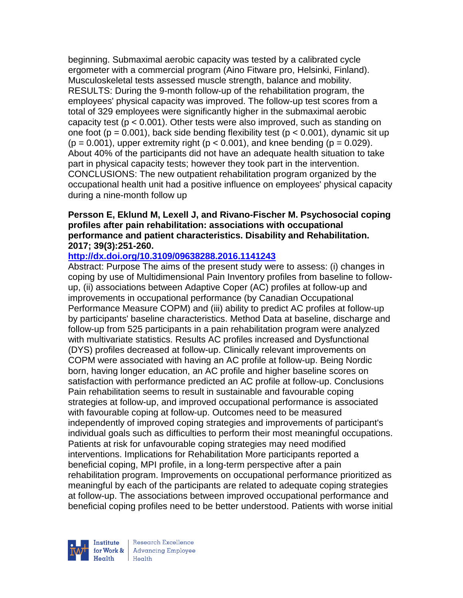beginning. Submaximal aerobic capacity was tested by a calibrated cycle ergometer with a commercial program (Aino Fitware pro, Helsinki, Finland). Musculoskeletal tests assessed muscle strength, balance and mobility. RESULTS: During the 9-month follow-up of the rehabilitation program, the employees' physical capacity was improved. The follow-up test scores from a total of 329 employees were significantly higher in the submaximal aerobic capacity test (p < 0.001). Other tests were also improved, such as standing on one foot ( $p = 0.001$ ), back side bending flexibility test ( $p < 0.001$ ), dynamic sit up  $(p = 0.001)$ , upper extremity right  $(p < 0.001)$ , and knee bending  $(p = 0.029)$ . About 40% of the participants did not have an adequate health situation to take part in physical capacity tests; however they took part in the intervention. CONCLUSIONS: The new outpatient rehabilitation program organized by the occupational health unit had a positive influence on employees' physical capacity during a nine-month follow up

# **Persson E, Eklund M, Lexell J, and Rivano-Fischer M. Psychosocial coping profiles after pain rehabilitation: associations with occupational performance and patient characteristics. Disability and Rehabilitation. 2017; 39(3):251-260.**

# **<http://dx.doi.org/10.3109/09638288.2016.1141243>**

Abstract: Purpose The aims of the present study were to assess: (i) changes in coping by use of Multidimensional Pain Inventory profiles from baseline to followup, (ii) associations between Adaptive Coper (AC) profiles at follow-up and improvements in occupational performance (by Canadian Occupational Performance Measure COPM) and (iii) ability to predict AC profiles at follow-up by participants' baseline characteristics. Method Data at baseline, discharge and follow-up from 525 participants in a pain rehabilitation program were analyzed with multivariate statistics. Results AC profiles increased and Dysfunctional (DYS) profiles decreased at follow-up. Clinically relevant improvements on COPM were associated with having an AC profile at follow-up. Being Nordic born, having longer education, an AC profile and higher baseline scores on satisfaction with performance predicted an AC profile at follow-up. Conclusions Pain rehabilitation seems to result in sustainable and favourable coping strategies at follow-up, and improved occupational performance is associated with favourable coping at follow-up. Outcomes need to be measured independently of improved coping strategies and improvements of participant's individual goals such as difficulties to perform their most meaningful occupations. Patients at risk for unfavourable coping strategies may need modified interventions. Implications for Rehabilitation More participants reported a beneficial coping, MPI profile, in a long-term perspective after a pain rehabilitation program. Improvements on occupational performance prioritized as meaningful by each of the participants are related to adequate coping strategies at follow-up. The associations between improved occupational performance and beneficial coping profiles need to be better understood. Patients with worse initial

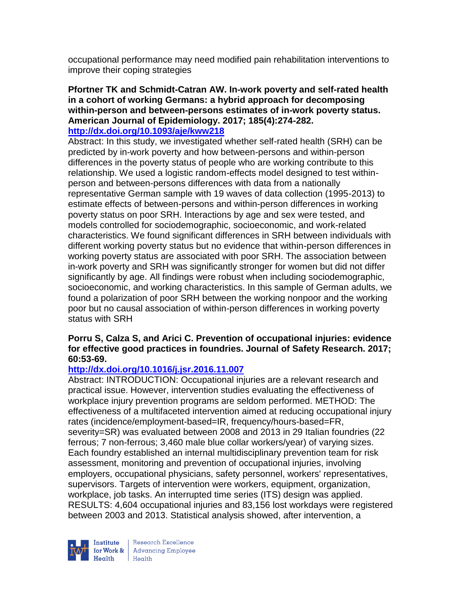occupational performance may need modified pain rehabilitation interventions to improve their coping strategies

# **Pfortner TK and Schmidt-Catran AW. In-work poverty and self-rated health in a cohort of working Germans: a hybrid approach for decomposing within-person and between-persons estimates of in-work poverty status. American Journal of Epidemiology. 2017; 185(4):274-282.**

# **<http://dx.doi.org/10.1093/aje/kww218>**

Abstract: In this study, we investigated whether self-rated health (SRH) can be predicted by in-work poverty and how between-persons and within-person differences in the poverty status of people who are working contribute to this relationship. We used a logistic random-effects model designed to test withinperson and between-persons differences with data from a nationally representative German sample with 19 waves of data collection (1995-2013) to estimate effects of between-persons and within-person differences in working poverty status on poor SRH. Interactions by age and sex were tested, and models controlled for sociodemographic, socioeconomic, and work-related characteristics. We found significant differences in SRH between individuals with different working poverty status but no evidence that within-person differences in working poverty status are associated with poor SRH. The association between in-work poverty and SRH was significantly stronger for women but did not differ significantly by age. All findings were robust when including sociodemographic, socioeconomic, and working characteristics. In this sample of German adults, we found a polarization of poor SRH between the working nonpoor and the working poor but no causal association of within-person differences in working poverty status with SRH

# **Porru S, Calza S, and Arici C. Prevention of occupational injuries: evidence for effective good practices in foundries. Journal of Safety Research. 2017; 60:53-69.**

# **<http://dx.doi.org/10.1016/j.jsr.2016.11.007>**

Abstract: INTRODUCTION: Occupational injuries are a relevant research and practical issue. However, intervention studies evaluating the effectiveness of workplace injury prevention programs are seldom performed. METHOD: The effectiveness of a multifaceted intervention aimed at reducing occupational injury rates (incidence/employment-based=IR, frequency/hours-based=FR, severity=SR) was evaluated between 2008 and 2013 in 29 Italian foundries (22 ferrous; 7 non-ferrous; 3,460 male blue collar workers/year) of varying sizes. Each foundry established an internal multidisciplinary prevention team for risk assessment, monitoring and prevention of occupational injuries, involving employers, occupational physicians, safety personnel, workers' representatives, supervisors. Targets of intervention were workers, equipment, organization, workplace, job tasks. An interrupted time series (ITS) design was applied. RESULTS: 4,604 occupational injuries and 83,156 lost workdays were registered between 2003 and 2013. Statistical analysis showed, after intervention, a

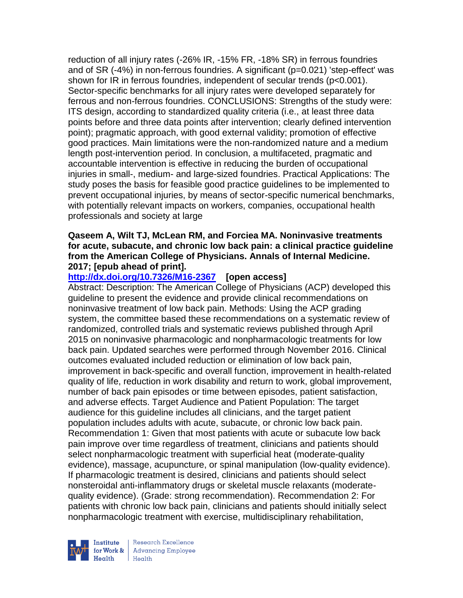reduction of all injury rates (-26% IR, -15% FR, -18% SR) in ferrous foundries and of SR (-4%) in non-ferrous foundries. A significant (p=0.021) 'step-effect' was shown for IR in ferrous foundries, independent of secular trends (p<0.001). Sector-specific benchmarks for all injury rates were developed separately for ferrous and non-ferrous foundries. CONCLUSIONS: Strengths of the study were: ITS design, according to standardized quality criteria (i.e., at least three data points before and three data points after intervention; clearly defined intervention point); pragmatic approach, with good external validity; promotion of effective good practices. Main limitations were the non-randomized nature and a medium length post-intervention period. In conclusion, a multifaceted, pragmatic and accountable intervention is effective in reducing the burden of occupational injuries in small-, medium- and large-sized foundries. Practical Applications: The study poses the basis for feasible good practice guidelines to be implemented to prevent occupational injuries, by means of sector-specific numerical benchmarks, with potentially relevant impacts on workers, companies, occupational health professionals and society at large

#### **Qaseem A, Wilt TJ, McLean RM, and Forciea MA. Noninvasive treatments for acute, subacute, and chronic low back pain: a clinical practice guideline from the American College of Physicians. Annals of Internal Medicine. 2017; [epub ahead of print].**

# **<http://dx.doi.org/10.7326/M16-2367>[open access]**

Abstract: Description: The American College of Physicians (ACP) developed this guideline to present the evidence and provide clinical recommendations on noninvasive treatment of low back pain. Methods: Using the ACP grading system, the committee based these recommendations on a systematic review of randomized, controlled trials and systematic reviews published through April 2015 on noninvasive pharmacologic and nonpharmacologic treatments for low back pain. Updated searches were performed through November 2016. Clinical outcomes evaluated included reduction or elimination of low back pain, improvement in back-specific and overall function, improvement in health-related quality of life, reduction in work disability and return to work, global improvement, number of back pain episodes or time between episodes, patient satisfaction, and adverse effects. Target Audience and Patient Population: The target audience for this guideline includes all clinicians, and the target patient population includes adults with acute, subacute, or chronic low back pain. Recommendation 1: Given that most patients with acute or subacute low back pain improve over time regardless of treatment, clinicians and patients should select nonpharmacologic treatment with superficial heat (moderate-quality evidence), massage, acupuncture, or spinal manipulation (low-quality evidence). If pharmacologic treatment is desired, clinicians and patients should select nonsteroidal anti-inflammatory drugs or skeletal muscle relaxants (moderatequality evidence). (Grade: strong recommendation). Recommendation 2: For patients with chronic low back pain, clinicians and patients should initially select nonpharmacologic treatment with exercise, multidisciplinary rehabilitation,



Research Excellence for Work & | Advancing Employee Health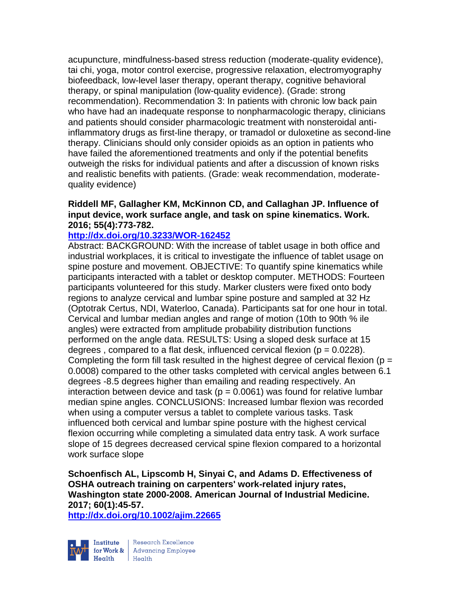acupuncture, mindfulness-based stress reduction (moderate-quality evidence), tai chi, yoga, motor control exercise, progressive relaxation, electromyography biofeedback, low-level laser therapy, operant therapy, cognitive behavioral therapy, or spinal manipulation (low-quality evidence). (Grade: strong recommendation). Recommendation 3: In patients with chronic low back pain who have had an inadequate response to nonpharmacologic therapy, clinicians and patients should consider pharmacologic treatment with nonsteroidal antiinflammatory drugs as first-line therapy, or tramadol or duloxetine as second-line therapy. Clinicians should only consider opioids as an option in patients who have failed the aforementioned treatments and only if the potential benefits outweigh the risks for individual patients and after a discussion of known risks and realistic benefits with patients. (Grade: weak recommendation, moderatequality evidence)

# **Riddell MF, Gallagher KM, McKinnon CD, and Callaghan JP. Influence of input device, work surface angle, and task on spine kinematics. Work. 2016; 55(4):773-782.**

#### **<http://dx.doi.org/10.3233/WOR-162452>**

Abstract: BACKGROUND: With the increase of tablet usage in both office and industrial workplaces, it is critical to investigate the influence of tablet usage on spine posture and movement. OBJECTIVE: To quantify spine kinematics while participants interacted with a tablet or desktop computer. METHODS: Fourteen participants volunteered for this study. Marker clusters were fixed onto body regions to analyze cervical and lumbar spine posture and sampled at 32 Hz (Optotrak Certus, NDI, Waterloo, Canada). Participants sat for one hour in total. Cervical and lumbar median angles and range of motion (10th to 90th % ile angles) were extracted from amplitude probability distribution functions performed on the angle data. RESULTS: Using a sloped desk surface at 15 degrees, compared to a flat desk, influenced cervical flexion ( $p = 0.0228$ ). Completing the form fill task resulted in the highest degree of cervical flexion ( $p =$ 0.0008) compared to the other tasks completed with cervical angles between 6.1 degrees -8.5 degrees higher than emailing and reading respectively. An interaction between device and task ( $p = 0.0061$ ) was found for relative lumbar median spine angles. CONCLUSIONS: Increased lumbar flexion was recorded when using a computer versus a tablet to complete various tasks. Task influenced both cervical and lumbar spine posture with the highest cervical flexion occurring while completing a simulated data entry task. A work surface slope of 15 degrees decreased cervical spine flexion compared to a horizontal work surface slope

**Schoenfisch AL, Lipscomb H, Sinyai C, and Adams D. Effectiveness of OSHA outreach training on carpenters' work-related injury rates, Washington state 2000-2008. American Journal of Industrial Medicine. 2017; 60(1):45-57.** 

**<http://dx.doi.org/10.1002/ajim.22665>**



Research Excellence for Work & Advancing Employee<br>Health Health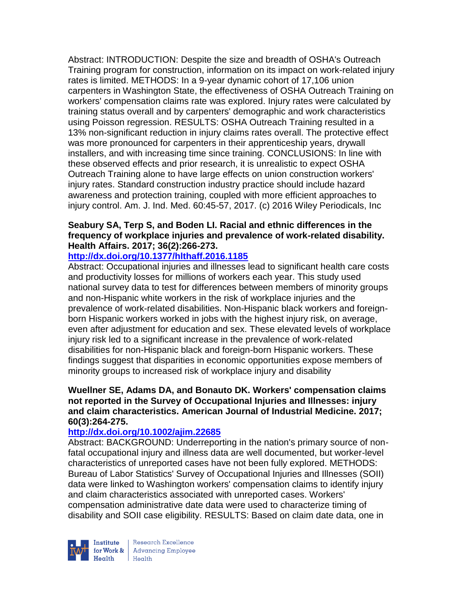Abstract: INTRODUCTION: Despite the size and breadth of OSHA's Outreach Training program for construction, information on its impact on work-related injury rates is limited. METHODS: In a 9-year dynamic cohort of 17,106 union carpenters in Washington State, the effectiveness of OSHA Outreach Training on workers' compensation claims rate was explored. Injury rates were calculated by training status overall and by carpenters' demographic and work characteristics using Poisson regression. RESULTS: OSHA Outreach Training resulted in a 13% non-significant reduction in injury claims rates overall. The protective effect was more pronounced for carpenters in their apprenticeship years, drywall installers, and with increasing time since training. CONCLUSIONS: In line with these observed effects and prior research, it is unrealistic to expect OSHA Outreach Training alone to have large effects on union construction workers' injury rates. Standard construction industry practice should include hazard awareness and protection training, coupled with more efficient approaches to injury control. Am. J. Ind. Med. 60:45-57, 2017. (c) 2016 Wiley Periodicals, Inc

# **Seabury SA, Terp S, and Boden LI. Racial and ethnic differences in the frequency of workplace injuries and prevalence of work-related disability. Health Affairs. 2017; 36(2):266-273.**

# **<http://dx.doi.org/10.1377/hlthaff.2016.1185>**

Abstract: Occupational injuries and illnesses lead to significant health care costs and productivity losses for millions of workers each year. This study used national survey data to test for differences between members of minority groups and non-Hispanic white workers in the risk of workplace injuries and the prevalence of work-related disabilities. Non-Hispanic black workers and foreignborn Hispanic workers worked in jobs with the highest injury risk, on average, even after adjustment for education and sex. These elevated levels of workplace injury risk led to a significant increase in the prevalence of work-related disabilities for non-Hispanic black and foreign-born Hispanic workers. These findings suggest that disparities in economic opportunities expose members of minority groups to increased risk of workplace injury and disability

# **Wuellner SE, Adams DA, and Bonauto DK. Workers' compensation claims not reported in the Survey of Occupational Injuries and Illnesses: injury and claim characteristics. American Journal of Industrial Medicine. 2017; 60(3):264-275.**

# **<http://dx.doi.org/10.1002/ajim.22685>**

Abstract: BACKGROUND: Underreporting in the nation's primary source of nonfatal occupational injury and illness data are well documented, but worker-level characteristics of unreported cases have not been fully explored. METHODS: Bureau of Labor Statistics' Survey of Occupational Injuries and Illnesses (SOII) data were linked to Washington workers' compensation claims to identify injury and claim characteristics associated with unreported cases. Workers' compensation administrative date data were used to characterize timing of disability and SOII case eligibility. RESULTS: Based on claim date data, one in



Research Excellence for Work & | Advancing Employee  $H_{\text{eath}}$